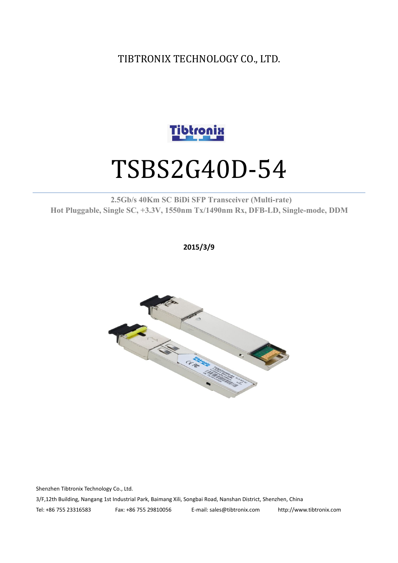TIBTRONIX TECHNOLOGY CO., LTD.



# TSBS2G40D-54

#### **2.5Gb/s 40Km SC BiDi SFP Transceiver (Multi-rate) Hot Pluggable, Single SC, +3.3V, 1550nm Tx/1490nm Rx, DFB-LD,Single-mode, DDM**

**2015/3/9**



Shenzhen Tibtronix Technology Co., Ltd. 3/F,12th Building, Nangang 1st Industrial Park, Baimang Xili, Songbai Road, Nanshan District, Shenzhen, China Tel: +86 755 23316583 Fax: +86 755 29810056 E-mail: sales@tibtronix.com http://www.tibtronix.com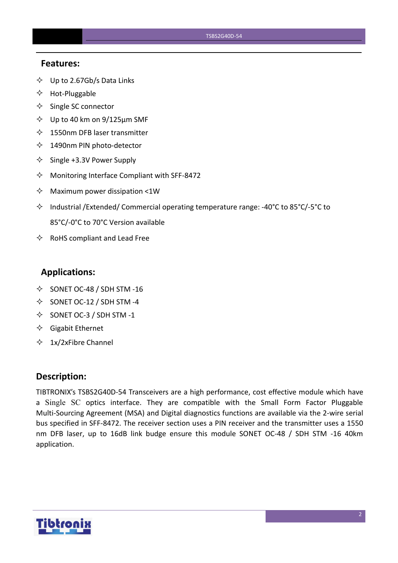#### **Features:**

- $\diamondsuit$  Up to 2.67Gb/s Data Links
- $\Leftrightarrow$  Hot-Pluggable
- $\Leftrightarrow$  Single SC connector
- $\diamond$  Up to 40 km on 9/125 µm SMF
- $\lozenge$  1550nm DFB laser transmitter
- 1490nm PIN photo-detector
- $\diamond$  Single +3.3V Power Supply
- $\Diamond$  Monitoring Interface Compliant with SFF-8472
- $\Diamond$  Maximum power dissipation <1W
- Industrial /Extended/ Commercial operating temperature range: -40°C to 85°C/-5°C to 85°C/-0°C to 70°C Version available
- $\Leftrightarrow$  RoHS compliant and Lead Free

#### **Applications:**

- $\diamond$  SONET OC-48 / SDH STM -16
- $\diamond$  SONET OC-12 / SDH STM -4
- $\diamond$  SONET OC-3 / SDH STM -1
- $\Diamond$  Gigabit Ethernet
- $\div$  1x/2xFibre Channel

#### **Description:**

TIBTRONIX's TSBS2G40D-54 Transceivers are a high performance, cost effective module which have a Single SC optics interface. They are compatible with the Small Form Factor Pluggable Multi-Sourcing Agreement (MSA) and Digital diagnostics functions are available via the 2-wire serial bus specified in SFF-8472. The receiver section uses a PIN receiver and the transmitter uses a 1550 nm DFB laser, up to 16dB link budge ensure this module SONET OC-48 / SDH STM -16 40km application.

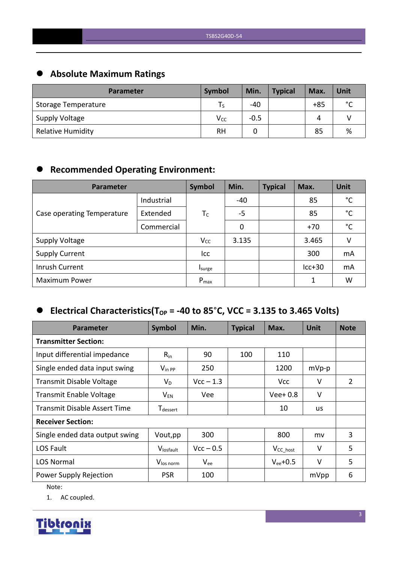# **Absolute Maximum Ratings**

| <b>Parameter</b>         | Symbol   | Min.   | <b>Typical</b> | Max.  | Unit        |
|--------------------------|----------|--------|----------------|-------|-------------|
| Storage Temperature      | l S      | -40    |                | $+85$ | $\sim$<br>◡ |
| Supply Voltage           | $V_{CC}$ | $-0.5$ |                | 4     |             |
| <b>Relative Humidity</b> | RH       |        |                | 85    | %           |

# **Recommended Operating Environment:**

| Parameter                  |            | Symbol    | Min.  | <b>Typical</b> | Max.     | <b>Unit</b>  |
|----------------------------|------------|-----------|-------|----------------|----------|--------------|
|                            | Industrial |           | $-40$ |                | 85       | °C           |
| Case operating Temperature | Extended   | $T_C$     | $-5$  |                | 85       | $^{\circ}$ C |
|                            | Commercial |           | 0     |                | $+70$    | °C           |
| <b>Supply Voltage</b>      | $V_{CC}$   | 3.135     |       | 3.465          | V        |              |
| <b>Supply Current</b>      |            | Icc       |       |                | 300      | mA           |
| Inrush Current             |            | Isurge    |       |                | $lcc+30$ | mA           |
| <b>Maximum Power</b>       |            | $P_{max}$ |       |                | 1        | W            |

# $\bullet$  Electrical Characteristics(T<sub>OP</sub> = -40 to 85°C, VCC = 3.135 to 3.465 Volts)

| <b>Parameter</b>                    | Symbol                      | Min.        | <b>Typical</b> | Max.           | <b>Unit</b> | <b>Note</b> |
|-------------------------------------|-----------------------------|-------------|----------------|----------------|-------------|-------------|
| <b>Transmitter Section:</b>         |                             |             |                |                |             |             |
| Input differential impedance        | $R_{in}$                    | 90          | 100            | 110            |             |             |
| Single ended data input swing       | $V_{\text{in PP}}$          | 250         |                | 1200           | $mVp-p$     |             |
| <b>Transmit Disable Voltage</b>     | $V_D$                       | $Vcc - 1.3$ |                | <b>Vcc</b>     | V           | 2           |
| <b>Transmit Enable Voltage</b>      | $V_{EN}$                    | Vee         |                | $Vee+0.8$      | $\vee$      |             |
| <b>Transmit Disable Assert Time</b> | <b>T</b> <sub>dessert</sub> |             |                | 10             | us          |             |
| <b>Receiver Section:</b>            |                             |             |                |                |             |             |
| Single ended data output swing      | Vout, pp                    | 300         |                | 800            | mv          | 3           |
| LOS Fault                           | Vlosfault                   | $Vcc - 0.5$ |                | $V_{CC\_host}$ | $\vee$      | 5           |
| <b>LOS Normal</b>                   | V <sub>los norm</sub>       | $V_{ee}$    |                | $V_{ee}$ +0.5  | $\vee$      | 5           |
| Power Supply Rejection              | <b>PSR</b>                  | 100         |                |                | mVpp        | 6           |

Note:

1. AC coupled.

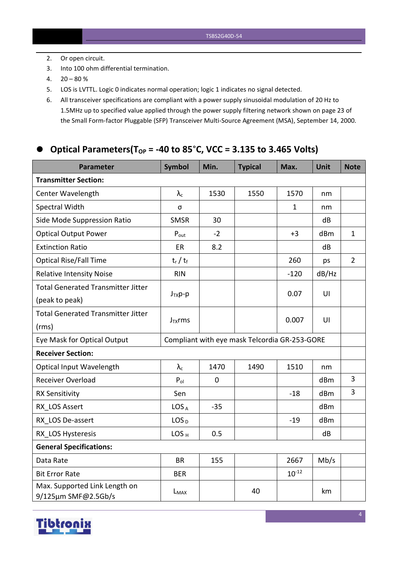- 2. Or open circuit.
- 3. Into 100 ohm differential termination.
- $4. \quad 20 80 \%$
- 5. LOS is LVTTL. Logic 0 indicates normal operation; logic 1 indicates no signal detected.
- 6. All transceiver specifications are compliant with a power supply sinusoidal modulation of 20 Hz to 1.5MHz up to specified value applied through the power supply filtering network shown on page 23 of the Small Form-factor Pluggable (SFP) Transceiver Multi-Source Agreement (MSA), September 14, 2000.

### **Optical Parameters(TOP = -40 to 85**°**C, VCC = 3.135 to 3.465 Volts)**

| <b>Parameter</b>                                     | <b>Symbol</b>                                 | Min.        | <b>Typical</b> | Max.         | Unit  | <b>Note</b>    |
|------------------------------------------------------|-----------------------------------------------|-------------|----------------|--------------|-------|----------------|
| <b>Transmitter Section:</b>                          |                                               |             |                |              |       |                |
| Center Wavelength                                    | $\lambda_{\rm c}$                             | 1530        | 1550           | 1570         | nm    |                |
| Spectral Width                                       | σ                                             |             |                | $\mathbf{1}$ | nm    |                |
| Side Mode Suppression Ratio                          | <b>SMSR</b>                                   | 30          |                |              | dB    |                |
| <b>Optical Output Power</b>                          | $P_{\text{out}}$                              | $-2$        |                | $+3$         | dBm   | $\mathbf{1}$   |
| <b>Extinction Ratio</b>                              | ER                                            | 8.2         |                |              | dB    |                |
| <b>Optical Rise/Fall Time</b>                        | $t_r / t_f$                                   |             |                | 260          | ps    | $\overline{2}$ |
| <b>Relative Intensity Noise</b>                      | <b>RIN</b>                                    |             |                | $-120$       | dB/Hz |                |
| <b>Total Generated Transmitter Jitter</b>            |                                               |             |                |              |       |                |
| (peak to peak)                                       | $J_{TX}p-p$                                   |             |                | 0.07         | U     |                |
| <b>Total Generated Transmitter Jitter</b>            |                                               |             |                |              |       |                |
| (rms)                                                | $J_{TX}$ rms                                  |             |                | 0.007        | U     |                |
| Eye Mask for Optical Output                          | Compliant with eye mask Telcordia GR-253-GORE |             |                |              |       |                |
| <b>Receiver Section:</b>                             |                                               |             |                |              |       |                |
| Optical Input Wavelength                             | $\lambda_c$                                   | 1470        | 1490           | 1510         | nm    |                |
| Receiver Overload                                    | $P_{ol}$                                      | $\mathbf 0$ |                |              | dBm   | $\overline{3}$ |
| <b>RX Sensitivity</b>                                | Sen                                           |             |                | $-18$        | dBm   | 3              |
| RX LOS Assert                                        | LOS <sub>A</sub>                              | $-35$       |                |              | dBm   |                |
| RX LOS De-assert                                     | LOS <sub>D</sub>                              |             |                | $-19$        | dBm   |                |
| RX LOS Hysteresis                                    | LOS <sub>H</sub>                              | 0.5         |                |              | dB    |                |
| <b>General Specifications:</b>                       |                                               |             |                |              |       |                |
| Data Rate                                            | <b>BR</b>                                     | 155         |                | 2667         | Mb/s  |                |
| <b>Bit Error Rate</b>                                | <b>BER</b>                                    |             |                | $10^{-12}$   |       |                |
| Max. Supported Link Length on<br>9/125µm SMF@2.5Gb/s | L <sub>MAX</sub>                              |             | 40             |              | km    |                |

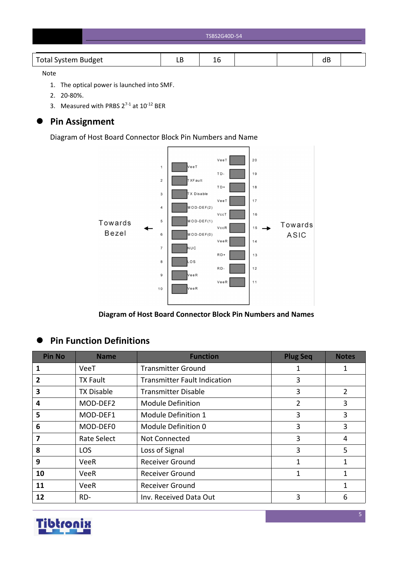| TSBS2G40D-54 |
|--------------|
|              |

#### Note

- 1. The optical power is launched into SMF.
- 2. 20-80%.
- 3. Measured with PRBS  $2^{7-1}$  at  $10^{-12}$  BER

# **Pin Assignment**

Diagram of Host Board Connector Block Pin Numbers and Name



**Diagram of Host Board Connector Block Pin Numbers and Names**

# **Pin Function Definitions**

| <b>Pin No</b>           | <b>Name</b>       | <b>Function</b>                     | <b>Plug Seq</b> | <b>Notes</b>   |
|-------------------------|-------------------|-------------------------------------|-----------------|----------------|
|                         | VeeT              | <b>Transmitter Ground</b>           | 1               | 1              |
| 2                       | <b>TX Fault</b>   | <b>Transmitter Fault Indication</b> | 3               |                |
| 3                       | <b>TX Disable</b> | <b>Transmitter Disable</b>          | 3               | $\overline{2}$ |
| 4                       | MOD-DEF2          | <b>Module Definition</b>            | 2               | 3              |
| 5                       | MOD-DEF1          | Module Definition 1                 | 3               | 3              |
| 6                       | MOD-DEF0          | Module Definition 0                 | 3               | 3              |
| $\overline{\mathbf{z}}$ | Rate Select       | Not Connected                       | 3               | 4              |
| 8                       | <b>LOS</b>        | Loss of Signal                      | 3               | 5              |
| 9                       | <b>VeeR</b>       | <b>Receiver Ground</b>              | 1               | $\mathbf{1}$   |
| 10                      | VeeR              | <b>Receiver Ground</b>              | 1               | 1              |
| 11                      | <b>VeeR</b>       | <b>Receiver Ground</b>              |                 | $\mathbf{1}$   |
| 12                      | RD-               | Inv. Received Data Out              | 3               | 6              |

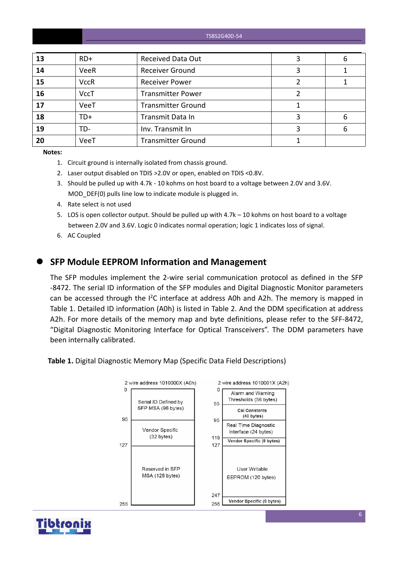TSBS2G40D-54

| 13 | $RD+$       | <b>Received Data Out</b>  | 6 |
|----|-------------|---------------------------|---|
| 14 | VeeR        | <b>Receiver Ground</b>    |   |
| 15 | <b>VccR</b> | <b>Receiver Power</b>     |   |
| 16 | <b>VccT</b> | <b>Transmitter Power</b>  |   |
| 17 | VeeT        | <b>Transmitter Ground</b> |   |
| 18 | TD+         | Transmit Data In          | 6 |
| 19 | TD-         | Inv. Transmit In          | 6 |
| 20 | VeeT        | <b>Transmitter Ground</b> |   |

**Notes:**

- 1. Circuit ground is internally isolated from chassis ground.
- 2. Laser output disabled on TDIS >2.0V or open, enabled on TDIS <0.8V.
- 3. Should be pulled up with 4.7k 10 kohms on host board to a voltage between 2.0V and 3.6V. MOD DEF(0) pulls line low to indicate module is plugged in.
- 4. Rate select is not used
- 5. LOS is open collector output. Should be pulled up with 4.7k 10 kohms on host board to a voltage between 2.0V and 3.6V. Logic 0 indicates normal operation; logic 1 indicates loss of signal.
- 6. AC Coupled

### **SFP Module EEPROM Information and Management**

The SFP modules implement the 2-wire serial communication protocol as defined in the SFP -8472. The serial ID information of the SFP modules and Digital Diagnostic Monitor parameters can be accessed through the  $I^2C$  interface at address A0h and A2h. The memory is mapped in Table 1. Detailed ID information (A0h) is listed in Table 2. And the DDM specification at address A2h. For more details of the memory map and byte definitions, please refer to the SFF-8472, "Digital Diagnostic Monitoring Interface for Optical Transceivers". The DDM parameters have been internally calibrated.

**Table 1.** Digital Diagnostic Memory Map (Specific Data Field Descriptions)



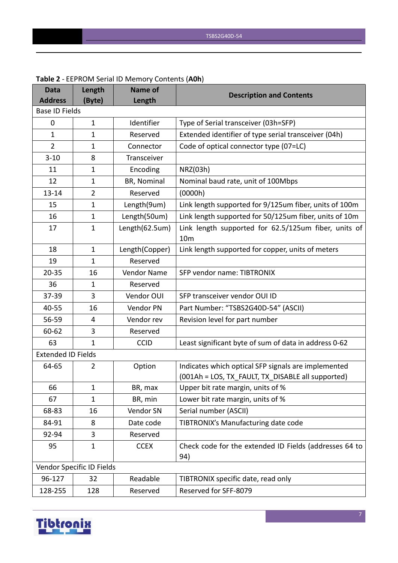| <b>Data</b>               | Length                    | Name of            | <b>Description and Contents</b>                                                                          |
|---------------------------|---------------------------|--------------------|----------------------------------------------------------------------------------------------------------|
| <b>Address</b>            | (Byte)                    | Length             |                                                                                                          |
| <b>Base ID Fields</b>     |                           |                    |                                                                                                          |
| 0                         | $\mathbf{1}$              | Identifier         | Type of Serial transceiver (03h=SFP)                                                                     |
| $\mathbf{1}$              | $\mathbf{1}$              | Reserved           | Extended identifier of type serial transceiver (04h)                                                     |
| 2                         | $\mathbf{1}$              | Connector          | Code of optical connector type (07=LC)                                                                   |
| $3 - 10$                  | 8                         | Transceiver        |                                                                                                          |
| 11                        | $\mathbf{1}$              | Encoding           | NRZ(03h)                                                                                                 |
| 12                        | $\mathbf{1}$              | BR, Nominal        | Nominal baud rate, unit of 100Mbps                                                                       |
| $13 - 14$                 | $\overline{2}$            | Reserved           | (0000h)                                                                                                  |
| 15                        | $\mathbf{1}$              | Length(9um)        | Link length supported for 9/125um fiber, units of 100m                                                   |
| 16                        | $\mathbf{1}$              | Length(50um)       | Link length supported for 50/125um fiber, units of 10m                                                   |
| 17                        | $\mathbf{1}$              | Length(62.5um)     | Link length supported for 62.5/125um fiber, units of<br>10 <sub>m</sub>                                  |
| 18                        | $\mathbf{1}$              | Length(Copper)     | Link length supported for copper, units of meters                                                        |
| 19                        | $\mathbf{1}$              | Reserved           |                                                                                                          |
| $20 - 35$                 | 16                        | <b>Vendor Name</b> | SFP vendor name: TIBTRONIX                                                                               |
| 36                        | 1                         | Reserved           |                                                                                                          |
| 37-39                     | 3                         | Vendor OUI         | SFP transceiver vendor OUI ID                                                                            |
| 40-55                     | 16                        | Vendor PN          | Part Number: "TSBS2G40D-54" (ASCII)                                                                      |
| 56-59                     | 4                         | Vendor rev         | Revision level for part number                                                                           |
| 60-62                     | 3                         | Reserved           |                                                                                                          |
| 63                        | $\mathbf{1}$              | <b>CCID</b>        | Least significant byte of sum of data in address 0-62                                                    |
| <b>Extended ID Fields</b> |                           |                    |                                                                                                          |
| 64-65                     | 2                         | Option             | Indicates which optical SFP signals are implemented<br>(001Ah = LOS, TX_FAULT, TX_DISABLE all supported) |
| 66                        | $\mathbf{1}$              | BR, max            | Upper bit rate margin, units of %                                                                        |
| 67                        | $\mathbf{1}$              | BR, min            | Lower bit rate margin, units of %                                                                        |
| 68-83                     | 16                        | Vendor SN          | Serial number (ASCII)                                                                                    |
| 84-91                     | 8                         | Date code          | TIBTRONIX's Manufacturing date code                                                                      |
| 92-94                     | 3                         | Reserved           |                                                                                                          |
| 95                        | $\mathbf{1}$              | <b>CCEX</b>        | Check code for the extended ID Fields (addresses 64 to<br>94)                                            |
|                           | Vendor Specific ID Fields |                    |                                                                                                          |
| 96-127                    | 32                        | Readable           | TIBTRONIX specific date, read only                                                                       |
| 128-255                   | 128                       | Reserved           | Reserved for SFF-8079                                                                                    |

#### **Table 2** - EEPROM Serial ID Memory Contents (**A0h**)

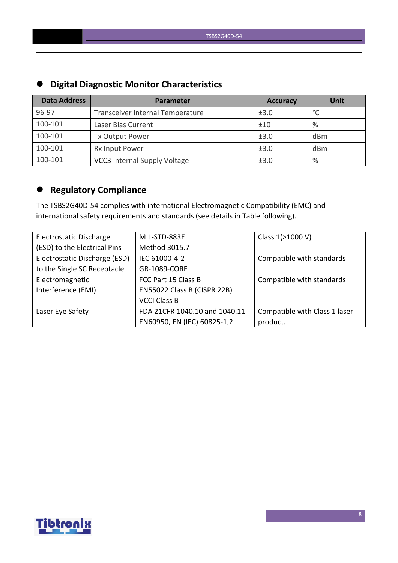| $-$                 |                                     |                 |                 |  |  |  |  |
|---------------------|-------------------------------------|-----------------|-----------------|--|--|--|--|
| <b>Data Address</b> | Parameter                           | <b>Accuracy</b> | <b>Unit</b>     |  |  |  |  |
| 96-97               | Transceiver Internal Temperature    | ±3.0            | $\circ$         |  |  |  |  |
| 100-101             | Laser Bias Current                  | ±10             | %               |  |  |  |  |
| 100-101             | Tx Output Power                     | ±3.0            | d <sub>Bm</sub> |  |  |  |  |
| 100-101             | Rx Input Power                      | ±3.0            | d <sub>Bm</sub> |  |  |  |  |
| 100-101             | <b>VCC3</b> Internal Supply Voltage | ±3.0            | %               |  |  |  |  |

# **Digital Diagnostic Monitor Characteristics**

# **Regulatory Compliance**

The TSBS2G40D-54 complies with international Electromagnetic Compatibility (EMC) and international safety requirements and standards (see details in Table following).

| Electrostatic Discharge       | MIL-STD-883E                  | Class 1(>1000 V)              |
|-------------------------------|-------------------------------|-------------------------------|
| (ESD) to the Electrical Pins  | Method 3015.7                 |                               |
| Electrostatic Discharge (ESD) | IEC 61000-4-2                 | Compatible with standards     |
| to the Single SC Receptacle   | GR-1089-CORE                  |                               |
| Electromagnetic               | FCC Part 15 Class B           | Compatible with standards     |
| Interference (EMI)            | EN55022 Class B (CISPR 22B)   |                               |
|                               | <b>VCCI Class B</b>           |                               |
| Laser Eye Safety              | FDA 21CFR 1040.10 and 1040.11 | Compatible with Class 1 laser |
|                               | EN60950, EN (IEC) 60825-1,2   | product.                      |

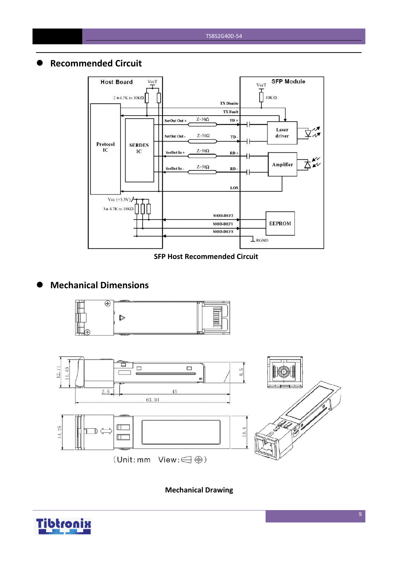# **Recommended Circuit**



#### **SFP Host Recommended Circuit**

# **Mechanical Dimensions**





**Mechanical Drawing**